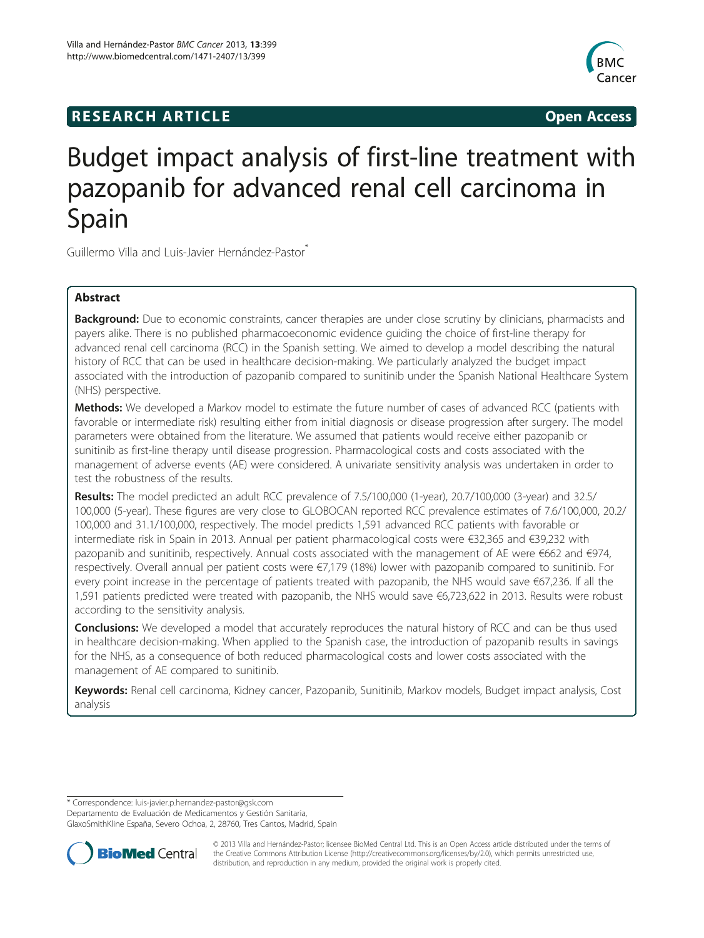## **RESEARCH ARTICLE Example 2018 12:00 Open Access**



# Budget impact analysis of first-line treatment with pazopanib for advanced renal cell carcinoma in Spain

Guillermo Villa and Luis-Javier Hernández-Pastor

## Abstract

Background: Due to economic constraints, cancer therapies are under close scrutiny by clinicians, pharmacists and payers alike. There is no published pharmacoeconomic evidence guiding the choice of first-line therapy for advanced renal cell carcinoma (RCC) in the Spanish setting. We aimed to develop a model describing the natural history of RCC that can be used in healthcare decision-making. We particularly analyzed the budget impact associated with the introduction of pazopanib compared to sunitinib under the Spanish National Healthcare System (NHS) perspective.

**Methods:** We developed a Markov model to estimate the future number of cases of advanced RCC (patients with favorable or intermediate risk) resulting either from initial diagnosis or disease progression after surgery. The model parameters were obtained from the literature. We assumed that patients would receive either pazopanib or sunitinib as first-line therapy until disease progression. Pharmacological costs and costs associated with the management of adverse events (AE) were considered. A univariate sensitivity analysis was undertaken in order to test the robustness of the results.

Results: The model predicted an adult RCC prevalence of 7.5/100,000 (1-year), 20.7/100,000 (3-year) and 32.5/ 100,000 (5-year). These figures are very close to GLOBOCAN reported RCC prevalence estimates of 7.6/100,000, 20.2/ 100,000 and 31.1/100,000, respectively. The model predicts 1,591 advanced RCC patients with favorable or intermediate risk in Spain in 2013. Annual per patient pharmacological costs were €32,365 and €39,232 with pazopanib and sunitinib, respectively. Annual costs associated with the management of AE were €662 and €974, respectively. Overall annual per patient costs were €7,179 (18%) lower with pazopanib compared to sunitinib. For every point increase in the percentage of patients treated with pazopanib, the NHS would save €67,236. If all the 1,591 patients predicted were treated with pazopanib, the NHS would save €6,723,622 in 2013. Results were robust according to the sensitivity analysis.

**Conclusions:** We developed a model that accurately reproduces the natural history of RCC and can be thus used in healthcare decision-making. When applied to the Spanish case, the introduction of pazopanib results in savings for the NHS, as a consequence of both reduced pharmacological costs and lower costs associated with the management of AE compared to sunitinib.

Keywords: Renal cell carcinoma, Kidney cancer, Pazopanib, Sunitinib, Markov models, Budget impact analysis, Cost analysis

\* Correspondence: [luis-javier.p.hernandez-pastor@gsk.com](mailto:luis-javier.p.hernandez-pastor@gsk.com)

Departamento de Evaluación de Medicamentos y Gestión Sanitaria,

GlaxoSmithKline España, Severo Ochoa, 2, 28760, Tres Cantos, Madrid, Spain



© 2013 Villa and Hernández-Pastor; licensee BioMed Central Ltd. This is an Open Access article distributed under the terms of the Creative Commons Attribution License [\(http://creativecommons.org/licenses/by/2.0\)](http://creativecommons.org/licenses/by/2.0), which permits unrestricted use, distribution, and reproduction in any medium, provided the original work is properly cited.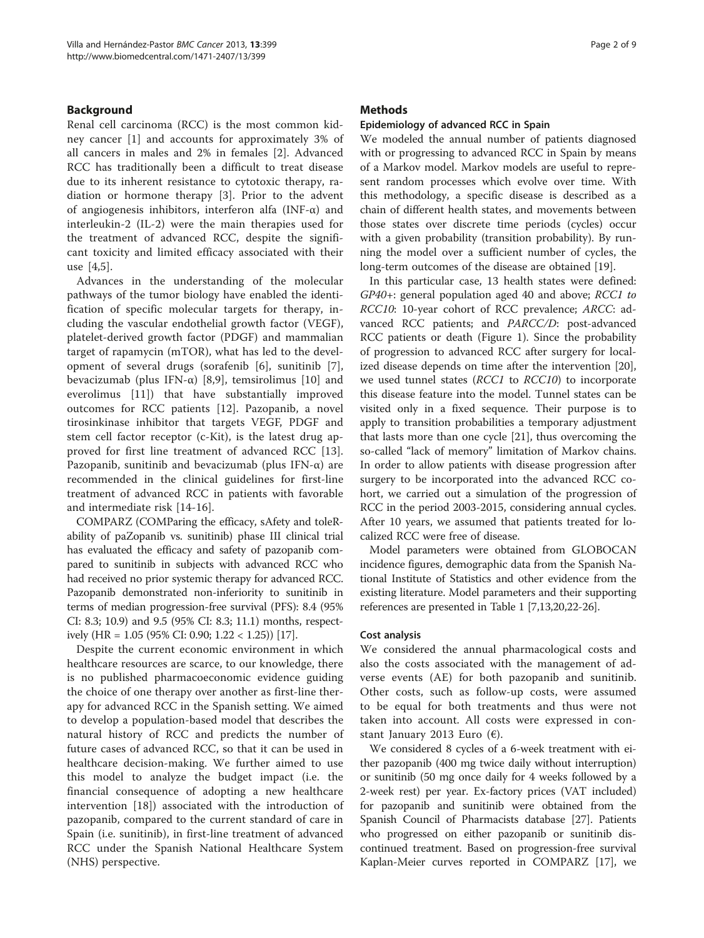## Background

Renal cell carcinoma (RCC) is the most common kidney cancer [[1](#page-7-0)] and accounts for approximately 3% of all cancers in males and 2% in females [[2\]](#page-7-0). Advanced RCC has traditionally been a difficult to treat disease due to its inherent resistance to cytotoxic therapy, radiation or hormone therapy [\[3](#page-7-0)]. Prior to the advent of angiogenesis inhibitors, interferon alfa (INF-α) and interleukin-2 (IL-2) were the main therapies used for the treatment of advanced RCC, despite the significant toxicity and limited efficacy associated with their use [[4,5\]](#page-7-0).

Advances in the understanding of the molecular pathways of the tumor biology have enabled the identification of specific molecular targets for therapy, including the vascular endothelial growth factor (VEGF), platelet-derived growth factor (PDGF) and mammalian target of rapamycin (mTOR), what has led to the development of several drugs (sorafenib [\[6](#page-7-0)], sunitinib [\[7](#page-7-0)], bevacizumab (plus IFN-α) [[8,9\]](#page-7-0), temsirolimus [[10](#page-7-0)] and everolimus [[11\]](#page-7-0)) that have substantially improved outcomes for RCC patients [[12\]](#page-7-0). Pazopanib, a novel tirosinkinase inhibitor that targets VEGF, PDGF and stem cell factor receptor (c-Kit), is the latest drug approved for first line treatment of advanced RCC [\[13](#page-7-0)]. Pazopanib, sunitinib and bevacizumab (plus IFN-α) are recommended in the clinical guidelines for first-line treatment of advanced RCC in patients with favorable and intermediate risk [\[14](#page-7-0)-[16\]](#page-7-0).

COMPARZ (COMParing the efficacy, sAfety and toleRability of paZopanib vs. sunitinib) phase III clinical trial has evaluated the efficacy and safety of pazopanib compared to sunitinib in subjects with advanced RCC who had received no prior systemic therapy for advanced RCC. Pazopanib demonstrated non-inferiority to sunitinib in terms of median progression-free survival (PFS): 8.4 (95% CI: 8.3; 10.9) and 9.5 (95% CI: 8.3; 11.1) months, respectively (HR = 1.05 (95% CI: 0.90; 1.22 < 1.25)) [\[17\]](#page-8-0).

Despite the current economic environment in which healthcare resources are scarce, to our knowledge, there is no published pharmacoeconomic evidence guiding the choice of one therapy over another as first-line therapy for advanced RCC in the Spanish setting. We aimed to develop a population-based model that describes the natural history of RCC and predicts the number of future cases of advanced RCC, so that it can be used in healthcare decision-making. We further aimed to use this model to analyze the budget impact (i.e. the financial consequence of adopting a new healthcare intervention [[18\]](#page-8-0)) associated with the introduction of pazopanib, compared to the current standard of care in Spain (i.e. sunitinib), in first-line treatment of advanced RCC under the Spanish National Healthcare System (NHS) perspective.

## **Methods**

### Epidemiology of advanced RCC in Spain

We modeled the annual number of patients diagnosed with or progressing to advanced RCC in Spain by means of a Markov model. Markov models are useful to represent random processes which evolve over time. With this methodology, a specific disease is described as a chain of different health states, and movements between those states over discrete time periods (cycles) occur with a given probability (transition probability). By running the model over a sufficient number of cycles, the long-term outcomes of the disease are obtained [\[19\]](#page-8-0).

In this particular case, 13 health states were defined: GP40+: general population aged 40 and above; RCC1 to RCC10: 10-year cohort of RCC prevalence; ARCC: advanced RCC patients; and PARCC/D: post-advanced RCC patients or death (Figure [1](#page-2-0)). Since the probability of progression to advanced RCC after surgery for localized disease depends on time after the intervention [\[20](#page-8-0)], we used tunnel states (RCC1 to RCC10) to incorporate this disease feature into the model. Tunnel states can be visited only in a fixed sequence. Their purpose is to apply to transition probabilities a temporary adjustment that lasts more than one cycle [[21](#page-8-0)], thus overcoming the so-called "lack of memory" limitation of Markov chains. In order to allow patients with disease progression after surgery to be incorporated into the advanced RCC cohort, we carried out a simulation of the progression of RCC in the period 2003-2015, considering annual cycles. After 10 years, we assumed that patients treated for localized RCC were free of disease.

Model parameters were obtained from GLOBOCAN incidence figures, demographic data from the Spanish National Institute of Statistics and other evidence from the existing literature. Model parameters and their supporting references are presented in Table [1](#page-2-0) [[7,13](#page-7-0)[,20,22](#page-8-0)-[26\]](#page-8-0).

## Cost analysis

We considered the annual pharmacological costs and also the costs associated with the management of adverse events (AE) for both pazopanib and sunitinib. Other costs, such as follow-up costs, were assumed to be equal for both treatments and thus were not taken into account. All costs were expressed in constant January 2013 Euro  $(\epsilon)$ .

We considered 8 cycles of a 6-week treatment with either pazopanib (400 mg twice daily without interruption) or sunitinib (50 mg once daily for 4 weeks followed by a 2-week rest) per year. Ex-factory prices (VAT included) for pazopanib and sunitinib were obtained from the Spanish Council of Pharmacists database [[27](#page-8-0)]. Patients who progressed on either pazopanib or sunitinib discontinued treatment. Based on progression-free survival Kaplan-Meier curves reported in COMPARZ [[17](#page-8-0)], we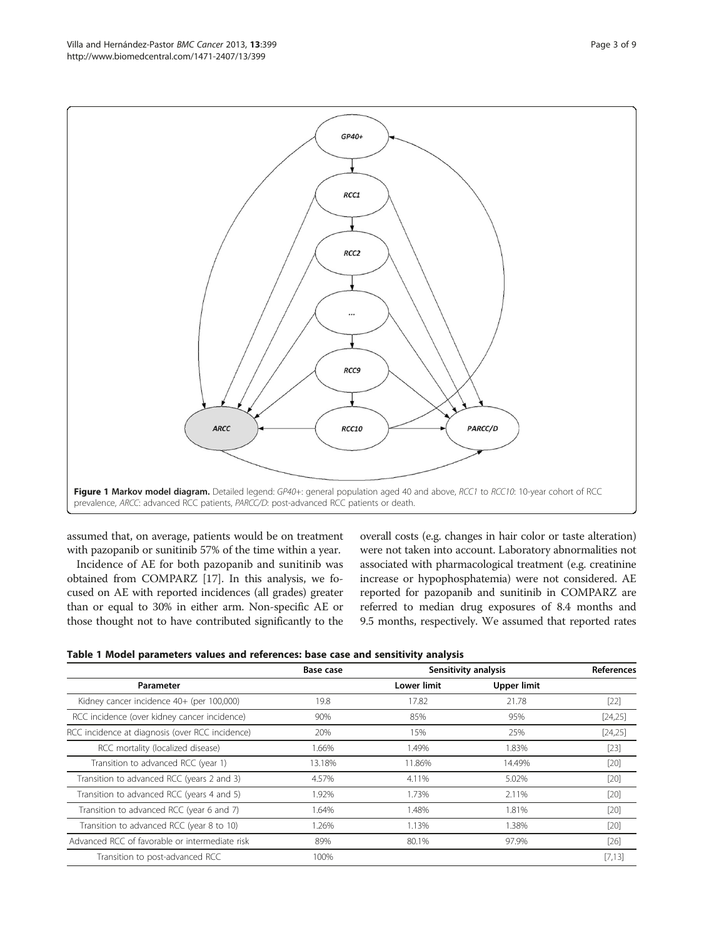<span id="page-2-0"></span>

assumed that, on average, patients would be on treatment with pazopanib or sunitinib 57% of the time within a year.

Incidence of AE for both pazopanib and sunitinib was obtained from COMPARZ [[17](#page-8-0)]. In this analysis, we focused on AE with reported incidences (all grades) greater than or equal to 30% in either arm. Non-specific AE or those thought not to have contributed significantly to the

overall costs (e.g. changes in hair color or taste alteration) were not taken into account. Laboratory abnormalities not associated with pharmacological treatment (e.g. creatinine increase or hypophosphatemia) were not considered. AE reported for pazopanib and sunitinib in COMPARZ are referred to median drug exposures of 8.4 months and 9.5 months, respectively. We assumed that reported rates

| Table 1 Model parameters values and references: base case and sensitivity analysis |  |  |  |  |  |  |  |
|------------------------------------------------------------------------------------|--|--|--|--|--|--|--|
|------------------------------------------------------------------------------------|--|--|--|--|--|--|--|

|                                                 | <b>Base case</b> |             | Sensitivity analysis |            |  |
|-------------------------------------------------|------------------|-------------|----------------------|------------|--|
| Parameter                                       |                  | Lower limit | Upper limit          | References |  |
| Kidney cancer incidence 40+ (per 100,000)       | 19.8             | 17.82       | 21.78                | $[22]$     |  |
| RCC incidence (over kidney cancer incidence)    | 90%              | 85%         | 95%                  | [24,25]    |  |
| RCC incidence at diagnosis (over RCC incidence) | 20%              | 15%         | 25%                  | [24,25]    |  |
| RCC mortality (localized disease)               | 1.66%            | 1.49%       | 1.83%                | $[23]$     |  |
| Transition to advanced RCC (year 1)             | 13.18%           | 11.86%      | 14.49%               | $[20]$     |  |
| Transition to advanced RCC (years 2 and 3)      | 4.57%            | 4.11%       | 5.02%                | $[20]$     |  |
| Transition to advanced RCC (years 4 and 5)      | 1.92%            | 1.73%       | 2.11%                | $[20]$     |  |
| Transition to advanced RCC (year 6 and 7)       | 1.64%            | 1.48%       | 1.81%                | $[20]$     |  |
| Transition to advanced RCC (year 8 to 10)       | 1.26%            | 1.13%       | 1.38%                | $[20]$     |  |
| Advanced RCC of favorable or intermediate risk  | 89%              | 80.1%       | 97.9%                | $[26]$     |  |
| Transition to post-advanced RCC                 | 100%             |             |                      | [7, 13]    |  |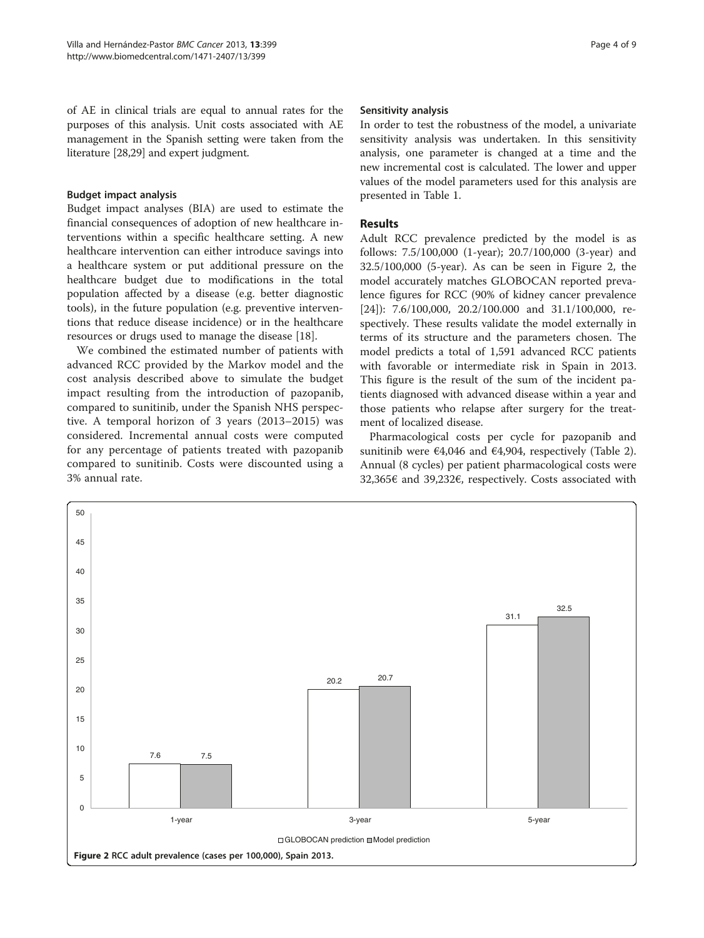of AE in clinical trials are equal to annual rates for the purposes of this analysis. Unit costs associated with AE management in the Spanish setting were taken from the literature [[28,29](#page-8-0)] and expert judgment.

#### Budget impact analysis

Budget impact analyses (BIA) are used to estimate the financial consequences of adoption of new healthcare interventions within a specific healthcare setting. A new healthcare intervention can either introduce savings into a healthcare system or put additional pressure on the healthcare budget due to modifications in the total population affected by a disease (e.g. better diagnostic tools), in the future population (e.g. preventive interventions that reduce disease incidence) or in the healthcare resources or drugs used to manage the disease [\[18](#page-8-0)].

We combined the estimated number of patients with advanced RCC provided by the Markov model and the cost analysis described above to simulate the budget impact resulting from the introduction of pazopanib, compared to sunitinib, under the Spanish NHS perspective. A temporal horizon of 3 years (2013–2015) was considered. Incremental annual costs were computed for any percentage of patients treated with pazopanib compared to sunitinib. Costs were discounted using a 3% annual rate.

#### Sensitivity analysis

In order to test the robustness of the model, a univariate sensitivity analysis was undertaken. In this sensitivity analysis, one parameter is changed at a time and the new incremental cost is calculated. The lower and upper values of the model parameters used for this analysis are presented in Table [1](#page-2-0).

### Results

Adult RCC prevalence predicted by the model is as follows: 7.5/100,000 (1-year); 20.7/100,000 (3-year) and 32.5/100,000 (5-year). As can be seen in Figure 2, the model accurately matches GLOBOCAN reported prevalence figures for RCC (90% of kidney cancer prevalence [[24\]](#page-8-0)): 7.6/100,000, 20.2/100.000 and 31.1/100,000, respectively. These results validate the model externally in terms of its structure and the parameters chosen. The model predicts a total of 1,591 advanced RCC patients with favorable or intermediate risk in Spain in 2013. This figure is the result of the sum of the incident patients diagnosed with advanced disease within a year and those patients who relapse after surgery for the treatment of localized disease.

Pharmacological costs per cycle for pazopanib and sunitinib were  $\epsilon$ 4,046 and  $\epsilon$ 4,904, respectively (Table [2](#page-4-0)). Annual (8 cycles) per patient pharmacological costs were 32,365€ and 39,232€, respectively. Costs associated with

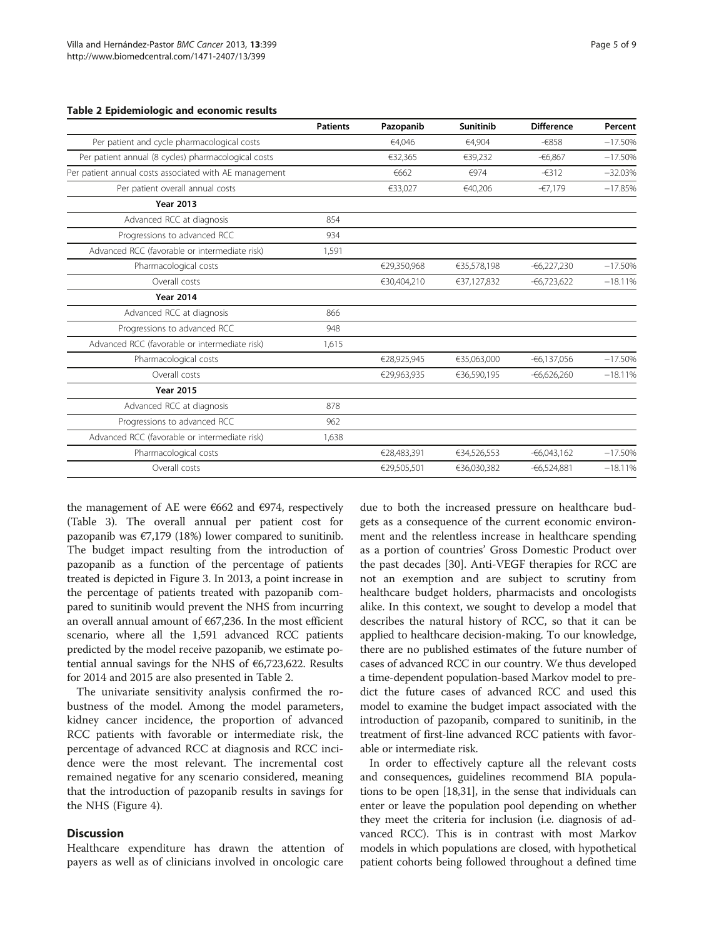<span id="page-4-0"></span>

|  |  |  |  |  |  |  | Table 2 Epidemiologic and economic results |  |
|--|--|--|--|--|--|--|--------------------------------------------|--|
|--|--|--|--|--|--|--|--------------------------------------------|--|

|                                                        | <b>Patients</b> | Pazopanib   | Sunitinib   | <b>Difference</b> | Percent   |
|--------------------------------------------------------|-----------------|-------------|-------------|-------------------|-----------|
| Per patient and cycle pharmacological costs            |                 | €4.046      | €4.904      | $-6858$           | $-17.50%$ |
| Per patient annual (8 cycles) pharmacological costs    |                 | €32.365     | €39,232     | $-6.867$          | $-17.50%$ |
| Per patient annual costs associated with AE management |                 | €662        | €974        | $-6312$           | $-32.03%$ |
| Per patient overall annual costs                       |                 | €33,027     | €40,206     | $-67,179$         | $-17.85%$ |
| <b>Year 2013</b>                                       |                 |             |             |                   |           |
| Advanced RCC at diagnosis                              | 854             |             |             |                   |           |
| Progressions to advanced RCC                           | 934             |             |             |                   |           |
| Advanced RCC (favorable or intermediate risk)          | 1,591           |             |             |                   |           |
| Pharmacological costs                                  |                 | €29,350,968 | €35,578,198 | $-66,227,230$     | $-17.50%$ |
| Overall costs                                          |                 | €30,404,210 | €37,127,832 | $-66,723,622$     | $-18.11%$ |
| <b>Year 2014</b>                                       |                 |             |             |                   |           |
| Advanced RCC at diagnosis                              | 866             |             |             |                   |           |
| Progressions to advanced RCC                           | 948             |             |             |                   |           |
| Advanced RCC (favorable or intermediate risk)          | 1,615           |             |             |                   |           |
| Pharmacological costs                                  |                 | €28,925,945 | €35,063,000 | $-66,137,056$     | $-17.50%$ |
| Overall costs                                          |                 | €29,963,935 | €36,590,195 | $-66,626,260$     | $-18.11%$ |
| <b>Year 2015</b>                                       |                 |             |             |                   |           |
| Advanced RCC at diagnosis                              | 878             |             |             |                   |           |
| Progressions to advanced RCC                           | 962             |             |             |                   |           |
| Advanced RCC (favorable or intermediate risk)          | 1.638           |             |             |                   |           |
| Pharmacological costs                                  |                 | €28,483,391 | €34,526,553 | $-66,043,162$     | $-17.50%$ |
| Overall costs                                          |                 | €29,505,501 | €36,030,382 | $-66,524,881$     | $-18.11%$ |

the management of AE were €662 and €974, respectively (Table [3](#page-5-0)). The overall annual per patient cost for pazopanib was  $\epsilon$ 7,179 (18%) lower compared to sunitinib. The budget impact resulting from the introduction of pazopanib as a function of the percentage of patients treated is depicted in Figure [3](#page-6-0). In 2013, a point increase in the percentage of patients treated with pazopanib compared to sunitinib would prevent the NHS from incurring an overall annual amount of  $667,236$ . In the most efficient scenario, where all the 1,591 advanced RCC patients predicted by the model receive pazopanib, we estimate potential annual savings for the NHS of €6,723,622. Results for 2014 and 2015 are also presented in Table 2.

The univariate sensitivity analysis confirmed the robustness of the model. Among the model parameters, kidney cancer incidence, the proportion of advanced RCC patients with favorable or intermediate risk, the percentage of advanced RCC at diagnosis and RCC incidence were the most relevant. The incremental cost remained negative for any scenario considered, meaning that the introduction of pazopanib results in savings for the NHS (Figure [4](#page-6-0)).

#### **Discussion**

Healthcare expenditure has drawn the attention of payers as well as of clinicians involved in oncologic care due to both the increased pressure on healthcare budgets as a consequence of the current economic environment and the relentless increase in healthcare spending as a portion of countries' Gross Domestic Product over the past decades [[30\]](#page-8-0). Anti-VEGF therapies for RCC are not an exemption and are subject to scrutiny from healthcare budget holders, pharmacists and oncologists alike. In this context, we sought to develop a model that describes the natural history of RCC, so that it can be applied to healthcare decision-making. To our knowledge, there are no published estimates of the future number of cases of advanced RCC in our country. We thus developed a time-dependent population-based Markov model to predict the future cases of advanced RCC and used this model to examine the budget impact associated with the introduction of pazopanib, compared to sunitinib, in the treatment of first-line advanced RCC patients with favorable or intermediate risk.

In order to effectively capture all the relevant costs and consequences, guidelines recommend BIA populations to be open [[18,31](#page-8-0)], in the sense that individuals can enter or leave the population pool depending on whether they meet the criteria for inclusion (i.e. diagnosis of advanced RCC). This is in contrast with most Markov models in which populations are closed, with hypothetical patient cohorts being followed throughout a defined time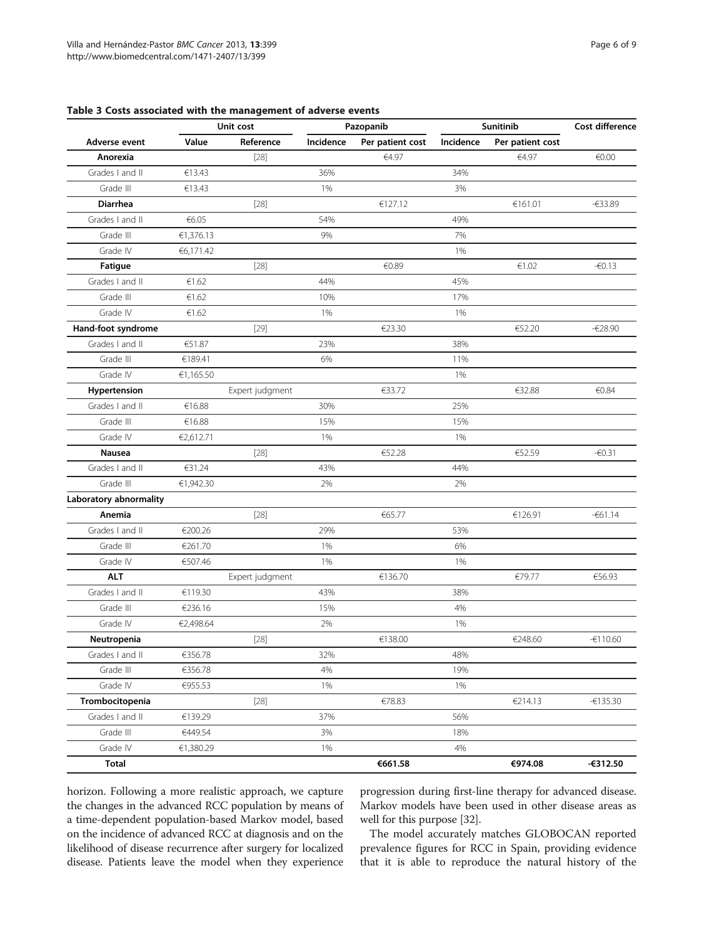|                        | Unit cost |                 | Pazopanib |                  | Sunitinib |                  | Cost difference |
|------------------------|-----------|-----------------|-----------|------------------|-----------|------------------|-----------------|
| Adverse event          | Value     | Reference       | Incidence | Per patient cost | Incidence | Per patient cost |                 |
| Anorexia               |           | $[28]$          |           | €4.97            |           | €4.97            | €0.00           |
| Grades I and II        | €13.43    |                 | 36%       |                  | 34%       |                  |                 |
| Grade III              | €13.43    |                 | 1%        |                  | 3%        |                  |                 |
| <b>Diarrhea</b>        |           | $[28]$          |           | €127.12          |           | €161.01          | $-633.89$       |
| Grades I and II        | €6.05     |                 | 54%       |                  | 49%       |                  |                 |
| Grade III              | €1,376.13 |                 | 9%        |                  | 7%        |                  |                 |
| Grade IV               | €6,171.42 |                 |           |                  | 1%        |                  |                 |
| Fatigue                |           | $[28]$          |           | €0.89            |           | €1.02            | $-60.13$        |
| Grades I and II        | €1.62     |                 | 44%       |                  | 45%       |                  |                 |
| Grade III              | €1.62     |                 | 10%       |                  | 17%       |                  |                 |
| Grade IV               | €1.62     |                 | 1%        |                  | 1%        |                  |                 |
| Hand-foot syndrome     |           | $[29]$          |           | €23.30           |           | €52.20           | $-628.90$       |
| Grades I and II        | €51.87    |                 | 23%       |                  | 38%       |                  |                 |
| Grade III              | €189.41   |                 | 6%        |                  | 11%       |                  |                 |
| Grade IV               | €1,165.50 |                 |           |                  | 1%        |                  |                 |
| Hypertension           |           | Expert judgment |           | €33.72           |           | €32.88           | €0.84           |
| Grades I and II        | €16.88    |                 | 30%       |                  | 25%       |                  |                 |
| Grade III              | €16.88    |                 | 15%       |                  | 15%       |                  |                 |
| Grade IV               | €2,612.71 |                 | 1%        |                  | 1%        |                  |                 |
| Nausea                 |           | $[28]$          |           | €52.28           |           | €52.59           | $-60.31$        |
| Grades I and II        | €31.24    |                 | 43%       |                  | 44%       |                  |                 |
| Grade III              | €1,942.30 |                 | 2%        |                  | 2%        |                  |                 |
| Laboratory abnormality |           |                 |           |                  |           |                  |                 |
| Anemia                 |           | $[28]$          |           | €65.77           |           | €126.91          | $-661.14$       |
| Grades I and II        | €200.26   |                 | 29%       |                  | 53%       |                  |                 |
| Grade III              | €261.70   |                 | 1%        |                  | 6%        |                  |                 |
| Grade IV               | €507.46   |                 | 1%        |                  | 1%        |                  |                 |
| <b>ALT</b>             |           | Expert judgment |           | €136.70          |           | €79.77           | €56.93          |
| Grades I and II        | €119.30   |                 | 43%       |                  | 38%       |                  |                 |
| Grade III              | €236.16   |                 | 15%       |                  | 4%        |                  |                 |
| Grade IV               | €2,498.64 |                 | 2%        |                  | 1%        |                  |                 |
| Neutropenia            |           | [28]            |           | €138.00          |           | €248.60          | $-6110.60$      |
| Grades I and II        | €356.78   |                 | 32%       |                  | 48%       |                  |                 |
| Grade III              | €356.78   |                 | 4%        |                  | 19%       |                  |                 |
| Grade IV               | €955.53   |                 | 1%        |                  | 1%        |                  |                 |
| Trombocitopenia        |           | $[28]$          |           | €78.83           |           | €214.13          | $-6135.30$      |
| Grades I and II        | €139.29   |                 | 37%       |                  | 56%       |                  |                 |
| Grade III              | €449.54   |                 | 3%        |                  | 18%       |                  |                 |
| Grade IV               | €1,380.29 |                 | 1%        |                  | 4%        |                  |                 |
| <b>Total</b>           |           |                 |           | €661.58          |           | €974.08          | $-6312.50$      |

## <span id="page-5-0"></span>Table 3 Costs associated with the management of adverse events

horizon. Following a more realistic approach, we capture the changes in the advanced RCC population by means of a time-dependent population-based Markov model, based on the incidence of advanced RCC at diagnosis and on the likelihood of disease recurrence after surgery for localized disease. Patients leave the model when they experience

progression during first-line therapy for advanced disease. Markov models have been used in other disease areas as well for this purpose [\[32\]](#page-8-0).

The model accurately matches GLOBOCAN reported prevalence figures for RCC in Spain, providing evidence that it is able to reproduce the natural history of the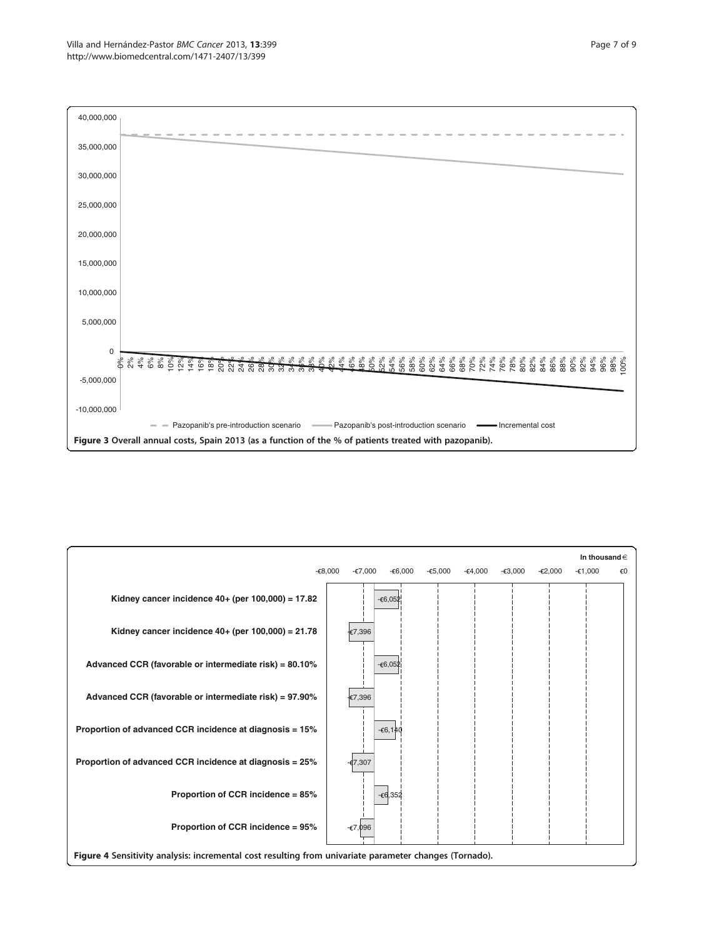<span id="page-6-0"></span>

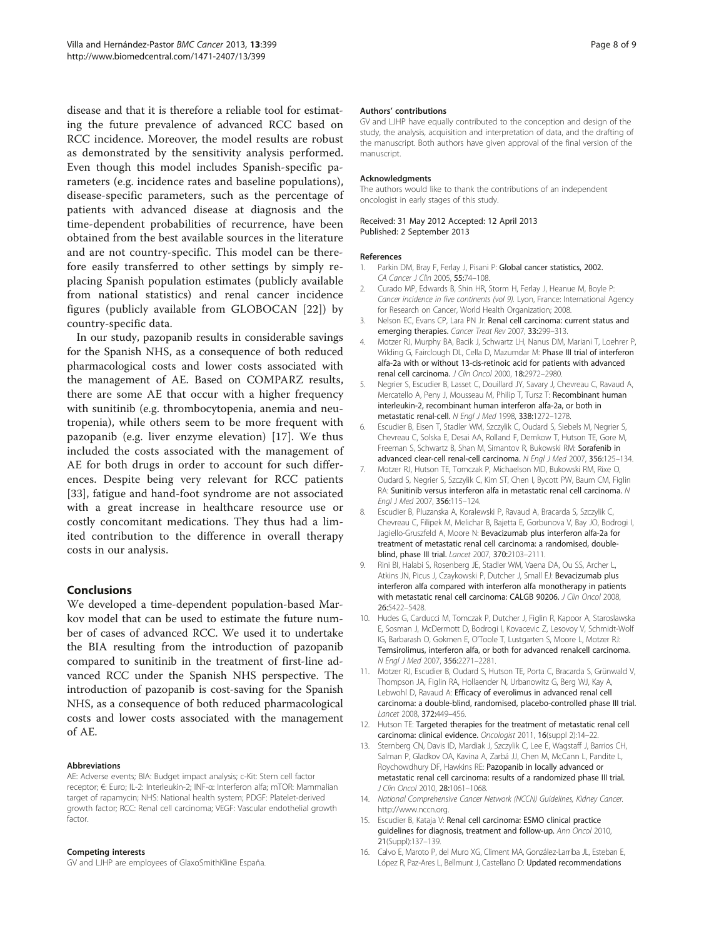<span id="page-7-0"></span>disease and that it is therefore a reliable tool for estimating the future prevalence of advanced RCC based on RCC incidence. Moreover, the model results are robust as demonstrated by the sensitivity analysis performed. Even though this model includes Spanish-specific parameters (e.g. incidence rates and baseline populations), disease-specific parameters, such as the percentage of patients with advanced disease at diagnosis and the time-dependent probabilities of recurrence, have been obtained from the best available sources in the literature and are not country-specific. This model can be therefore easily transferred to other settings by simply replacing Spanish population estimates (publicly available from national statistics) and renal cancer incidence figures (publicly available from GLOBOCAN [[22\]](#page-8-0)) by country-specific data.

In our study, pazopanib results in considerable savings for the Spanish NHS, as a consequence of both reduced pharmacological costs and lower costs associated with the management of AE. Based on COMPARZ results, there are some AE that occur with a higher frequency with sunitinib (e.g. thrombocytopenia, anemia and neutropenia), while others seem to be more frequent with pazopanib (e.g. liver enzyme elevation) [\[17](#page-8-0)]. We thus included the costs associated with the management of AE for both drugs in order to account for such differences. Despite being very relevant for RCC patients [[33\]](#page-8-0), fatigue and hand-foot syndrome are not associated with a great increase in healthcare resource use or costly concomitant medications. They thus had a limited contribution to the difference in overall therapy costs in our analysis.

## Conclusions

We developed a time-dependent population-based Markov model that can be used to estimate the future number of cases of advanced RCC. We used it to undertake the BIA resulting from the introduction of pazopanib compared to sunitinib in the treatment of first-line advanced RCC under the Spanish NHS perspective. The introduction of pazopanib is cost-saving for the Spanish NHS, as a consequence of both reduced pharmacological costs and lower costs associated with the management of AE.

#### Abbreviations

AE: Adverse events; BIA: Budget impact analysis; c-Kit: Stem cell factor receptor; €: Euro; IL-2: Interleukin-2; INF-α: Interferon alfa; mTOR: Mammalian target of rapamycin; NHS: National health system; PDGF: Platelet-derived growth factor; RCC: Renal cell carcinoma; VEGF: Vascular endothelial growth factor.

#### Competing interests

GV and LJHP are employees of GlaxoSmithKline España.

#### Authors' contributions

GV and LJHP have equally contributed to the conception and design of the study, the analysis, acquisition and interpretation of data, and the drafting of the manuscript. Both authors have given approval of the final version of the manuscript.

#### Acknowledgments

The authors would like to thank the contributions of an independent oncologist in early stages of this study.

#### Received: 31 May 2012 Accepted: 12 April 2013 Published: 2 September 2013

#### References

- 1. Parkin DM, Bray F, Ferlay J, Pisani P: Global cancer statistics, 2002. CA Cancer J Clin 2005, 55:74–108.
- 2. Curado MP, Edwards B, Shin HR, Storm H, Ferlay J, Heanue M, Boyle P: Cancer incidence in five continents (vol 9). Lyon, France: International Agency for Research on Cancer, World Health Organization; 2008.
- 3. Nelson EC, Evans CP, Lara PN Jr: Renal cell carcinoma: current status and emerging therapies. Cancer Treat Rev 2007, 33:299-313.
- 4. Motzer RJ, Murphy BA, Bacik J, Schwartz LH, Nanus DM, Mariani T, Loehrer P, Wilding G, Fairclough DL, Cella D, Mazumdar M: Phase III trial of interferon alfa-2a with or without 13-cis-retinoic acid for patients with advanced renal cell carcinoma. J Clin Oncol 2000, 18:2972–2980.
- 5. Negrier S, Escudier B, Lasset C, Douillard JY, Savary J, Chevreau C, Ravaud A, Mercatello A, Peny J, Mousseau M, Philip T, Tursz T: Recombinant human interleukin-2, recombinant human interferon alfa-2a, or both in metastatic renal-cell. N Engl J Med 1998, 338:1272–1278.
- 6. Escudier B, Eisen T, Stadler WM, Szczylik C, Oudard S, Siebels M, Negrier S, Chevreau C, Solska E, Desai AA, Rolland F, Demkow T, Hutson TE, Gore M, Freeman S, Schwartz B, Shan M, Simantov R, Bukowski RM: Sorafenib in advanced clear-cell renal-cell carcinoma. N Engl J Med 2007, 356:125-134.
- 7. Motzer RJ, Hutson TE, Tomczak P, Michaelson MD, Bukowski RM, Rixe O, Oudard S, Negrier S, Szczylik C, Kim ST, Chen I, Bycott PW, Baum CM, Figlin RA: Sunitinib versus interferon alfa in metastatic renal cell carcinoma. N Engl J Med 2007, 356:115–124.
- 8. Escudier B, Pluzanska A, Koralewski P, Ravaud A, Bracarda S, Szczylik C, Chevreau C, Filipek M, Melichar B, Bajetta E, Gorbunova V, Bay JO, Bodrogi I, Jagiello-Gruszfeld A, Moore N: Bevacizumab plus interferon alfa-2a for treatment of metastatic renal cell carcinoma: a randomised, doubleblind, phase III trial. Lancet 2007, 370:2103-2111.
- 9. Rini BI, Halabi S, Rosenberg JE, Stadler WM, Vaena DA, Ou SS, Archer L, Atkins JN, Picus J, Czaykowski P, Dutcher J, Small EJ: Bevacizumab plus interferon alfa compared with interferon alfa monotherapy in patients with metastatic renal cell carcinoma: CALGB 90206. J Clin Oncol 2008, 26:5422–5428.
- 10. Hudes G, Carducci M, Tomczak P, Dutcher J, Figlin R, Kapoor A, Staroslawska E, Sosman J, McDermott D, Bodrogi I, Kovacevic Z, Lesovoy V, Schmidt-Wolf IG, Barbarash O, Gokmen E, O'Toole T, Lustgarten S, Moore L, Motzer RJ: Temsirolimus, interferon alfa, or both for advanced renalcell carcinoma. N Engl J Med 2007, 356:2271–2281.
- 11. Motzer RJ, Escudier B, Oudard S, Hutson TE, Porta C, Bracarda S, Grünwald V, Thompson JA, Figlin RA, Hollaender N, Urbanowitz G, Berg WJ, Kay A, Lebwohl D, Ravaud A: Efficacy of everolimus in advanced renal cell carcinoma: a double-blind, randomised, placebo-controlled phase III trial. Lancet 2008, 372:449–456.
- 12. Hutson TE: Targeted therapies for the treatment of metastatic renal cell carcinoma: clinical evidence. Oncologist 2011, 16(suppl 2):14–22.
- 13. Sternberg CN, Davis ID, Mardiak J, Szczylik C, Lee E, Wagstaff J, Barrios CH, Salman P, Gladkov OA, Kavina A, Zarbá JJ, Chen M, McCann L, Pandite L, Roychowdhury DF, Hawkins RE: Pazopanib in locally advanced or metastatic renal cell carcinoma: results of a randomized phase III trial. J Clin Oncol 2010, 28:1061–1068.
- 14. National Comprehensive Cancer Network (NCCN) Guidelines, Kidney Cancer. [http://www.nccn.org.](http://www.nccn.org)
- 15. Escudier B, Kataja V: Renal cell carcinoma: ESMO clinical practice guidelines for diagnosis, treatment and follow-up. Ann Oncol 2010, 21(Suppl):137–139.
- 16. Calvo E, Maroto P, del Muro XG, Climent MA, González-Larriba JL, Esteban E, López R, Paz-Ares L, Bellmunt J, Castellano D: Updated recommendations